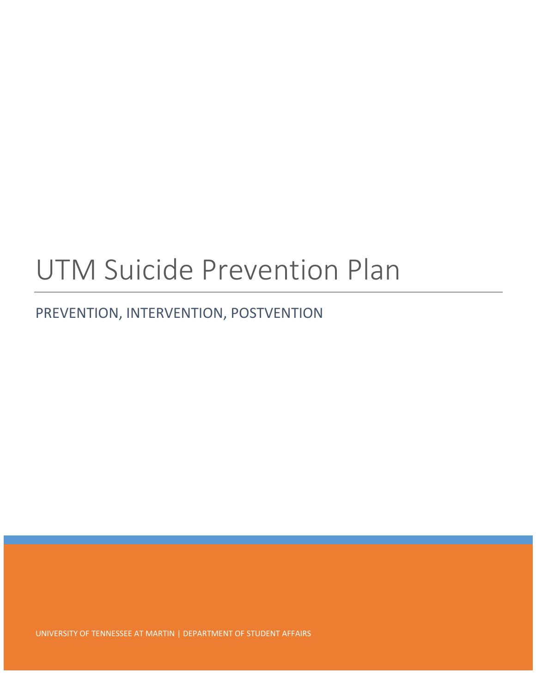# UTM Suicide Prevention Plan

## PREVENTION, INTERVENTION, POSTVENTION

UNIVERSITY OF TENNESSEE AT MARTIN | DEPARTMENT OF STUDENT AFFAIRS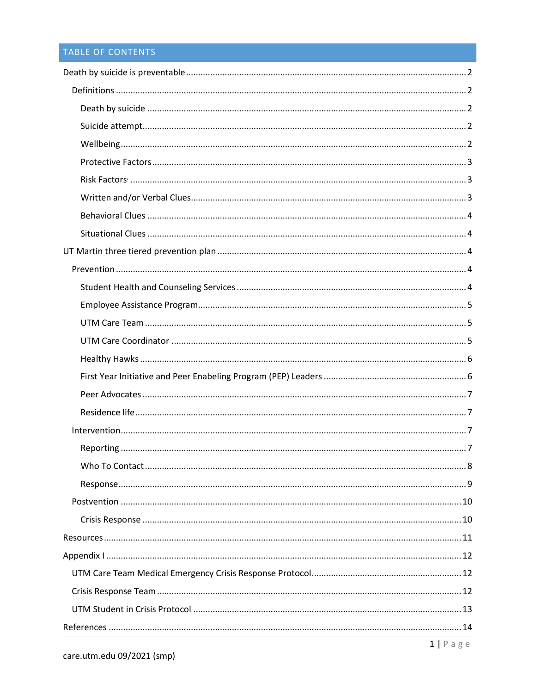## TABLE OF CONTENTS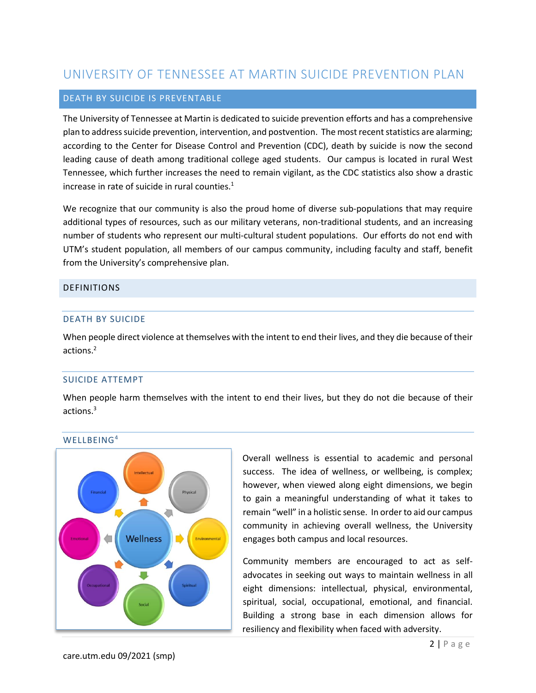## UNIVERSITY OF TENNESSEE AT MARTIN SUICIDE PREVENTION PLAN

#### <span id="page-2-0"></span>DEATH BY SUICIDE IS PREVENTABLE

The University of Tennessee at Martin is dedicated to suicide prevention efforts and has a comprehensive plan to address suicide prevention, intervention, and postvention. The most recent statistics are alarming; according to the Center for Disease Control and Prevention (CDC), death by suicide is now the second leading cause of death among traditional college aged students. Our campus is located in rural West Tennessee, which further increases the need to remain vigilant, as the CDC statistics also show a drastic increase in rate of suicide in rural counties.<sup>1</sup>

We recognize that our community is also the proud home of diverse sub-populations that may require additional types of resources, such as our military veterans, non-traditional students, and an increasing number of students who represent our multi-cultural student populations. Our efforts do not end with UTM's student population, all members of our campus community, including faculty and staff, benefit from the University's comprehensive plan.

#### <span id="page-2-2"></span><span id="page-2-1"></span>DEFINITIONS

#### DEATH BY SUICIDE

When people direct violence at themselves with the intent to end their lives, and they die because of their actions. 2

#### <span id="page-2-3"></span>SUICIDE ATTEMPT

When people harm themselves with the intent to end their lives, but they do not die because of their actions.<sup>3</sup>

#### <span id="page-2-4"></span>WELLBEING<sup>4</sup>



Overall wellness is essential to academic and personal success. The idea of wellness, or wellbeing, is complex; however, when viewed along eight dimensions, we begin to gain a meaningful understanding of what it takes to remain "well" in a holistic sense. In order to aid our campus community in achieving overall wellness, the University engages both campus and local resources.

Community members are encouraged to act as selfadvocates in seeking out ways to maintain wellness in all eight dimensions: intellectual, physical, environmental, spiritual, social, occupational, emotional, and financial. Building a strong base in each dimension allows for resiliency and flexibility when faced with adversity.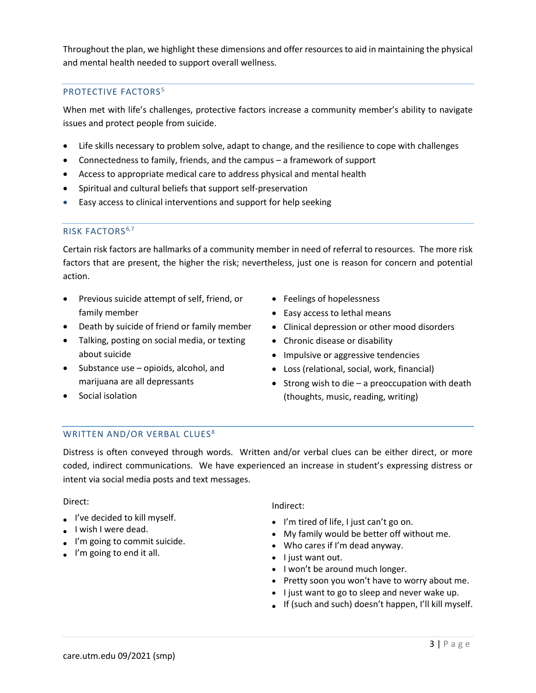Throughout the plan, we highlight these dimensions and offer resources to aid in maintaining the physical and mental health needed to support overall wellness.

#### <span id="page-3-0"></span>PROTECTIVE FACTORS<sup>5</sup>

When met with life's challenges, protective factors increase a community member's ability to navigate issues and protect people from suicide.

- Life skills necessary to problem solve, adapt to change, and the resilience to cope with challenges
- Connectedness to family, friends, and the campus a framework of support
- Access to appropriate medical care to address physical and mental health
- Spiritual and cultural beliefs that support self-preservation
- Easy access to clinical interventions and support for help seeking

#### <span id="page-3-1"></span>RISK FACTORS<sup>6,7</sup>

Certain risk factors are hallmarks of a community member in need of referral to resources. The more risk factors that are present, the higher the risk; nevertheless, just one is reason for concern and potential action.

- Previous suicide attempt of self, friend, or family member
- Death by suicide of friend or family member
- Talking, posting on social media, or texting about suicide
- Substance use opioids, alcohol, and marijuana are all depressants
- Social isolation
- Feelings of hopelessness
- Easy access to lethal means
- Clinical depression or other mood disorders
- Chronic disease or disability
- Impulsive or aggressive tendencies
- Loss (relational, social, work, financial)
- Strong wish to die a preoccupation with death (thoughts, music, reading, writing)

#### <span id="page-3-2"></span>WRITTEN AND/OR VERBAL CLUES<sup>8</sup>

Distress is often conveyed through words. Written and/or verbal clues can be either direct, or more coded, indirect communications. We have experienced an increase in student's expressing distress or intent via social media posts and text messages.

#### Direct:

- I've decided to kill myself.
- I wish I were dead.
- I'm going to commit suicide.
- I'm going to end it all.

#### Indirect:

- I'm tired of life, I just can't go on.
- My family would be better off without me.
- Who cares if I'm dead anyway.
- I just want out.
- I won't be around much longer.
- Pretty soon you won't have to worry about me.
- I just want to go to sleep and never wake up.
- If (such and such) doesn't happen, I'll kill myself.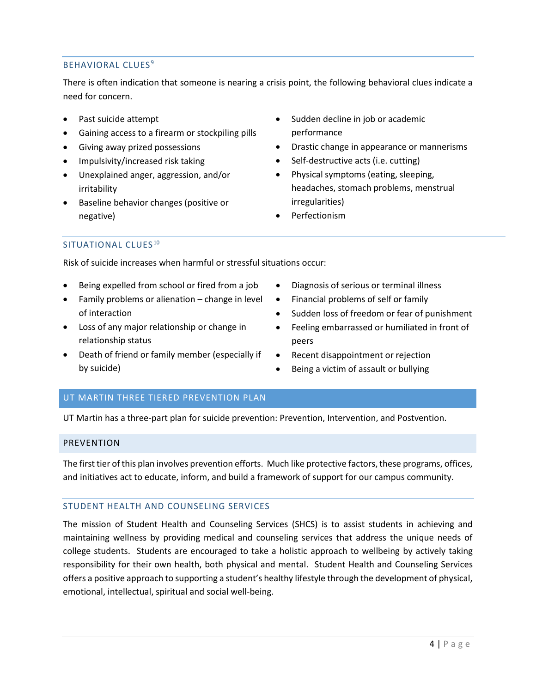#### <span id="page-4-0"></span>BEHAVIORAL CLUES<sup>9</sup>

There is often indication that someone is nearing a crisis point, the following behavioral clues indicate a need for concern.

- Past suicide attempt
- Gaining access to a firearm or stockpiling pills
- Giving away prized possessions
- Impulsivity/increased risk taking
- Unexplained anger, aggression, and/or irritability
- Baseline behavior changes (positive or negative)
- Sudden decline in job or academic performance
- Drastic change in appearance or mannerisms
- Self-destructive acts (i.e. cutting)
- Physical symptoms (eating, sleeping, headaches, stomach problems, menstrual irregularities)
- Perfectionism

#### <span id="page-4-1"></span>SITUATIONAL CLUES<sup>10</sup>

Risk of suicide increases when harmful or stressful situations occur:

- Being expelled from school or fired from a job
- Family problems or alienation change in level of interaction
- Loss of any major relationship or change in relationship status
- Death of friend or family member (especially if by suicide)
- Diagnosis of serious or terminal illness
- Financial problems of self or family
- Sudden loss of freedom or fear of punishment
- Feeling embarrassed or humiliated in front of peers
- Recent disappointment or rejection
- Being a victim of assault or bullying

#### <span id="page-4-2"></span>UT MARTIN THREE TIERED PREVENTION PLAN

UT Martin has a three-part plan for suicide prevention: Prevention, Intervention, and Postvention.

#### <span id="page-4-3"></span>PREVENTION

The first tier of this plan involves prevention efforts. Much like protective factors, these programs, offices, and initiatives act to educate, inform, and build a framework of support for our campus community.

#### <span id="page-4-4"></span>STUDENT HEALTH AND COUNSELING SERVICES

The mission of Student Health and Counseling Services (SHCS) is to assist students in achieving and maintaining wellness by providing medical and counseling services that address the unique needs of college students. Students are encouraged to take a holistic approach to wellbeing by actively taking responsibility for their own health, both physical and mental. Student Health and Counseling Services offers a positive approach to supporting a student's healthy lifestyle through the development of physical, emotional, intellectual, spiritual and social well-being.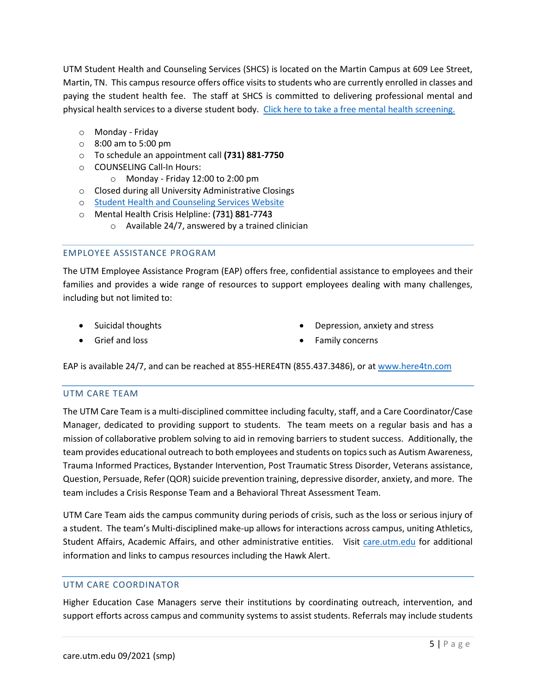UTM Student Health and Counseling Services (SHCS) is located on the Martin Campus at 609 Lee Street, Martin, TN. This campus resource offers office visits to students who are currently enrolled in classes and paying the student health fee. The staff at SHCS is committed to delivering professional mental and physical health services to a diverse student body. [Click here to take a free mental health screening.](https://screening.mentalhealthscreening.org/UTMartin)

- o Monday Friday
- o 8:00 am to 5:00 pm
- o To schedule an appointment call **(731) 881-7750**
- o COUNSELING Call-In Hours:
	- o Monday Friday 12:00 to 2:00 pm
- o Closed during all University Administrative Closings
- o [Student Health and Counseling Services Website](https://www.utm.edu/departments/shcs/)
- o Mental Health Crisis Helpline: [\(731\) 881-7743](mailto:dbelew@utm.edu)
	- $\circ$  Available 24/7, answered by a trained clinician

#### <span id="page-5-0"></span>EMPLOYEE ASSISTANCE PROGRAM

The UTM Employee Assistance Program (EAP) offers free, confidential assistance to employees and their families and provides a wide range of resources to support employees dealing with many challenges, including but not limited to:

- Suicidal thoughts
- Grief and loss
- Depression, anxiety and stress
- Family concerns

<span id="page-5-1"></span>EAP is available 24/7, and can be reached at 855-HERE4TN (855.437.3486), or at [www.here4tn.com](http://www.here4tn.com/)

#### UTM CARE TEAM

The UTM Care Team is a multi-disciplined committee including faculty, staff, and a Care Coordinator/Case Manager, dedicated to providing support to students. The team meets on a regular basis and has a mission of collaborative problem solving to aid in removing barriers to student success. Additionally, the team provides educational outreach to both employees and students on topics such as Autism Awareness, Trauma Informed Practices, Bystander Intervention, Post Traumatic Stress Disorder, Veterans assistance, Question, Persuade, Refer (QOR) suicide prevention training, depressive disorder, anxiety, and more. The team includes a Crisis Response Team and a Behavioral Threat Assessment Team.

UTM Care Team aids the campus community during periods of crisis, such as the loss or serious injury of a student. The team's Multi-disciplined make-up allows for interactions across campus, uniting Athletics, Student Affairs, Academic Affairs, and other administrative entities. Visit [care.utm.edu](http://www.care.utm.edu/) for additional information and links to campus resources including the Hawk Alert.

#### <span id="page-5-2"></span>UTM CARE COORDINATOR

Higher Education Case Managers serve their institutions by coordinating outreach, intervention, and support efforts across campus and community systems to assist students. Referrals may include students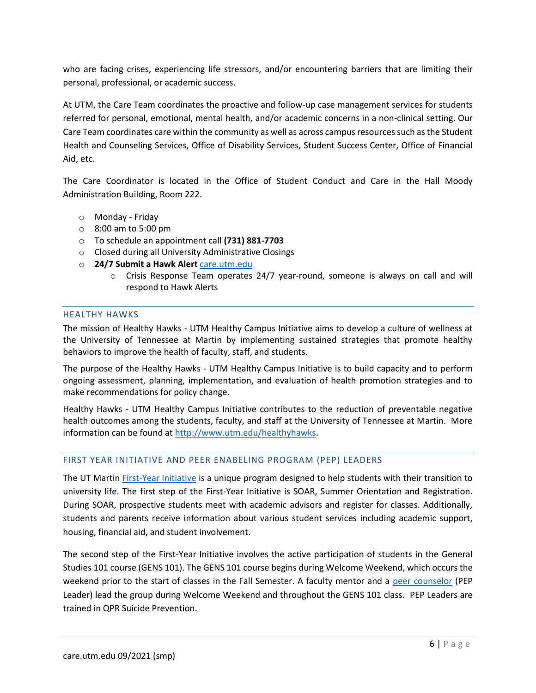who are facing crises, experiencing life stressors, and/or encountering barriers that are limiting their personal, professional, or academic success.

At UTM, the Care Team coordinates the proactive and follow-up case management services for students referred for personal, emotional, mental health, and/or academic concerns in a non-clinical setting. Our Care Team coordinates care within the community as well as across campus resources such as the Student Health and Counseling Services, Office of Disability Services, Student Success Center, Office of Financial Aid, etc.

The Care Coordinator is located in the Office of Student Conduct and Care in the Hall Moody Administration Building, Room 222.

- o Monday Friday
- o 8:00 am to 5:00 pm
- o To schedule an appointment call **(731) 881-7703**
- o Closed during all University Administrative Closings
- o **24/7 Submit a Hawk Alert** [care.utm.edu](http://www.care.utm.edu/)
	- $\circ$  Crisis Response Team operates 24/7 year-round, someone is always on call and will respond to Hawk Alerts

#### <span id="page-6-0"></span>HEALTHY HAWKS

The mission of Healthy Hawks - UTM Healthy Campus Initiative aims to develop a culture of wellness at the University of Tennessee at Martin by implementing sustained strategies that promote healthy behaviors to improve the health of faculty, staff, and students.

The purpose of the Healthy Hawks - UTM Healthy Campus Initiative is to build capacity and to perform ongoing assessment, planning, implementation, and evaluation of health promotion strategies and to make recommendations for policy change.

Healthy Hawks - UTM Healthy Campus Initiative contributes to the reduction of preventable negative health outcomes among the students, faculty, and staff at the University of Tennessee at Martin. More information can be found at [http://www.utm.edu/healthyhawks.](http://www.utm.edu/healthyhawks)

#### <span id="page-6-1"></span>FIRST YEAR INITIATIVE AND PEER ENABELING PROGRAM (PEP) LEADERS

The UT Marti[n First-Year Initiative](https://www.utm.edu/departments/fyi/) is a unique program designed to help students with their transition to university life. The first step of the First-Year Initiative is SOAR, Summer Orientation and Registration. During SOAR, prospective students meet with academic advisors and register for classes. Additionally, students and parents receive information about various student services including academic support, housing, financial aid, and student involvement.

The second step of the First-Year Initiative involves the active participation of students in the General Studies 101 course (GENS 101). The GENS 101 course begins during Welcome Weekend, which occurs the weekend prior to the start of classes in the Fall Semester. A faculty mentor and a [peer counselor](https://www.utm.edu/departments/fyi/pep_leaders.php) (PEP Leader) lead the group during Welcome Weekend and throughout the GENS 101 class. PEP Leaders are trained in QPR Suicide Prevention.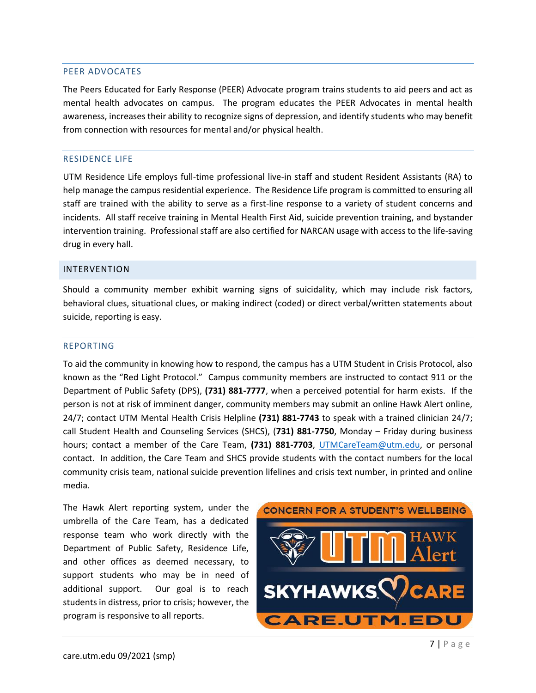#### <span id="page-7-0"></span>PEER ADVOCATES

The Peers Educated for Early Response (PEER) Advocate program trains students to aid peers and act as mental health advocates on campus. The program educates the PEER Advocates in mental health awareness, increases their ability to recognize signs of depression, and identify students who may benefit from connection with resources for mental and/or physical health.

#### <span id="page-7-1"></span>RESIDENCE LIFE

UTM Residence Life employs full-time professional live-in staff and student Resident Assistants (RA) to help manage the campus residential experience. The Residence Life program is committed to ensuring all staff are trained with the ability to serve as a first-line response to a variety of student concerns and incidents. All staff receive training in Mental Health First Aid, suicide prevention training, and bystander intervention training. Professional staff are also certified for NARCAN usage with access to the life-saving drug in every hall.

#### <span id="page-7-2"></span>INTERVENTION

Should a community member exhibit warning signs of suicidality, which may include risk factors, behavioral clues, situational clues, or making indirect (coded) or direct verbal/written statements about suicide, reporting is easy.

#### <span id="page-7-3"></span>REPORTING

To aid the community in knowing how to respond, the campus has a UTM Student in Crisis Protocol, also known as the "Red Light Protocol." Campus community members are instructed to contact 911 or the Department of Public Safety (DPS), **(731) 881-7777**, when a perceived potential for harm exists. If the person is not at risk of imminent danger, community members may submit an online Hawk Alert online, 24/7; contact UTM Mental Health Crisis Helpline **(731) 881-7743** to speak with a trained clinician 24/7; call Student Health and Counseling Services (SHCS), (**731) 881-7750**, Monday – Friday during business hours; contact a member of the Care Team, **(731) 881-7703**, [UTMCareTeam@utm.edu,](mailto:UTMCareTeam@utm.edu) or personal contact. In addition, the Care Team and SHCS provide students with the contact numbers for the local community crisis team, national suicide prevention lifelines and crisis text number, in printed and online media.

The Hawk Alert reporting system, under the umbrella of the Care Team, has a dedicated response team who work directly with the Department of Public Safety, Residence Life, and other offices as deemed necessary, to support students who may be in need of additional support. Our goal is to reach students in distress, prior to crisis; however, the program is responsive to all reports.

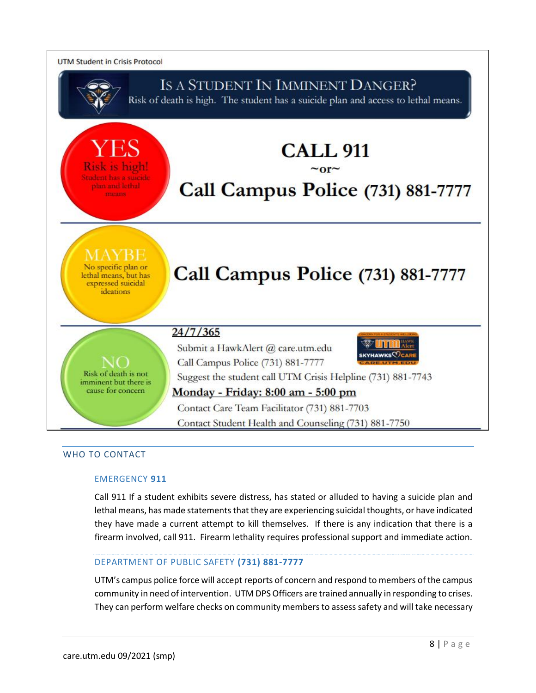

#### <span id="page-8-0"></span>WHO TO CONTACT

#### EMERGENCY **911**

Call 911 If a student exhibits severe distress, has stated or alluded to having a suicide plan and lethal means, has made statements that they are experiencing suicidal thoughts, or have indicated they have made a current attempt to kill themselves. If there is any indication that there is a firearm involved, call 911. Firearm lethality requires professional support and immediate action.

#### DEPARTMENT OF PUBLIC SAFETY **(731) 881-7777**

UTM's campus police force will accept reports of concern and respond to members of the campus community in need of intervention. UTM DPS Officers are trained annually in responding to crises. They can perform welfare checks on community members to assess safety and will take necessary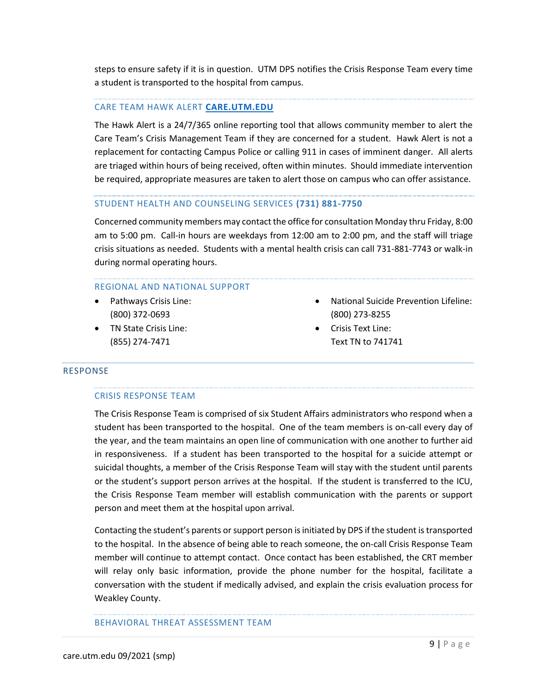steps to ensure safety if it is in question. UTM DPS notifies the Crisis Response Team every time a student is transported to the hospital from campus.

#### CARE TEAM HAWK ALERT **[CARE.UTM.EDU](http://www.care.utm.edu/)**

The Hawk Alert is a 24/7/365 online reporting tool that allows community member to alert the Care Team's Crisis Management Team if they are concerned for a student. Hawk Alert is not a replacement for contacting Campus Police or calling 911 in cases of imminent danger. All alerts are triaged within hours of being received, often within minutes. Should immediate intervention be required, appropriate measures are taken to alert those on campus who can offer assistance.

#### STUDENT HEALTH AND COUNSELING SERVICES **(731) 881-7750**

Concerned community members may contact the office for consultation Monday thru Friday, 8:00 am to 5:00 pm. Call-in hours are weekdays from 12:00 am to 2:00 pm, and the staff will triage crisis situations as needed. Students with a mental health crisis can call 731-881-7743 or walk-in during normal operating hours.

#### REGIONAL AND NATIONAL SUPPORT

- Pathways Crisis Line: (800) 372-0693
- TN State Crisis Line: (855) 274-7471
- National Suicide Prevention Lifeline: (800) 273-8255
- Crisis Text Line: Text TN to 741741

#### <span id="page-9-0"></span>RESPONSE

#### CRISIS RESPONSE TEAM

The Crisis Response Team is comprised of six Student Affairs administrators who respond when a student has been transported to the hospital. One of the team members is on-call every day of the year, and the team maintains an open line of communication with one another to further aid in responsiveness. If a student has been transported to the hospital for a suicide attempt or suicidal thoughts, a member of the Crisis Response Team will stay with the student until parents or the student's support person arrives at the hospital. If the student is transferred to the ICU, the Crisis Response Team member will establish communication with the parents or support person and meet them at the hospital upon arrival.

Contacting the student's parents or support person is initiated by DPS if the student is transported to the hospital. In the absence of being able to reach someone, the on-call Crisis Response Team member will continue to attempt contact. Once contact has been established, the CRT member will relay only basic information, provide the phone number for the hospital, facilitate a conversation with the student if medically advised, and explain the crisis evaluation process for Weakley County.

#### BEHAVIORAL THREAT ASSESSMENT TEAM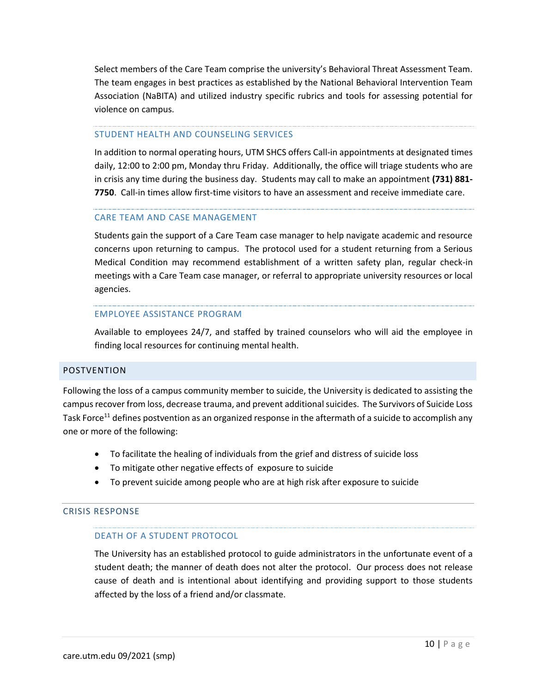Select members of the Care Team comprise the university's Behavioral Threat Assessment Team. The team engages in best practices as established by the National Behavioral Intervention Team Association (NaBITA) and utilized industry specific rubrics and tools for assessing potential for violence on campus.

#### STUDENT HEALTH AND COUNSELING SERVICES

In addition to normal operating hours, UTM SHCS offers Call-in appointments at designated times daily, 12:00 to 2:00 pm, Monday thru Friday. Additionally, the office will triage students who are in crisis any time during the business day. Students may call to make an appointment **(731) 881- 7750**. Call-in times allow first-time visitors to have an assessment and receive immediate care.

#### CARE TEAM AND CASE MANAGEMENT

Students gain the support of a Care Team case manager to help navigate academic and resource concerns upon returning to campus. The protocol used for a student returning from a Serious Medical Condition may recommend establishment of a written safety plan, regular check-in meetings with a Care Team case manager, or referral to appropriate university resources or local agencies.

#### EMPLOYEE ASSISTANCE PROGRAM

Available to employees 24/7, and staffed by trained counselors who will aid the employee in finding local resources for continuing mental health.

#### <span id="page-10-0"></span>POSTVENTION

Following the loss of a campus community member to suicide, the University is dedicated to assisting the campus recover from loss, decrease trauma, and prevent additional suicides. The Survivors of Suicide Loss Task Force<sup>11</sup> defines postvention as an organized response in the aftermath of a suicide to accomplish any one or more of the following:

- To facilitate the healing of individuals from the grief and distress of suicide loss
- To mitigate other negative effects of exposure to suicide
- To prevent suicide among people who are at high risk after exposure to suicide

#### <span id="page-10-1"></span>CRISIS RESPONSE

#### DEATH OF A STUDENT PROTOCOL

The University has an established protocol to guide administrators in the unfortunate event of a student death; the manner of death does not alter the protocol. Our process does not release cause of death and is intentional about identifying and providing support to those students affected by the loss of a friend and/or classmate.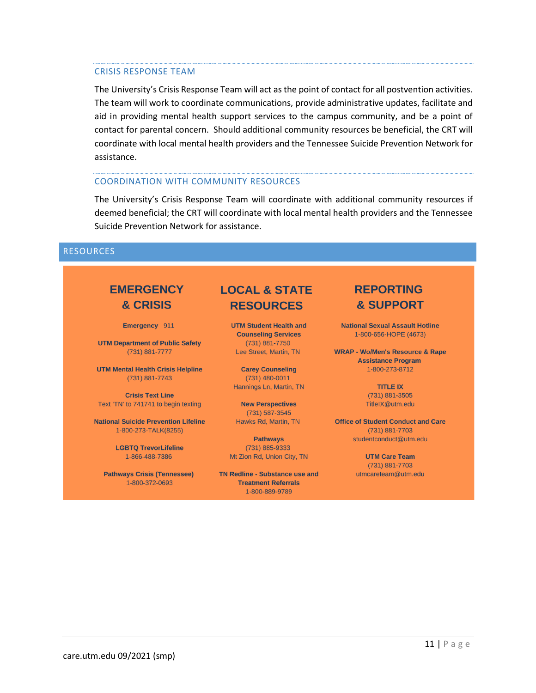#### CRISIS RESPONSE TEAM

The University's Crisis Response Team will act as the point of contact for all postvention activities. The team will work to coordinate communications, provide administrative updates, facilitate and aid in providing mental health support services to the campus community, and be a point of contact for parental concern. Should additional community resources be beneficial, the CRT will coordinate with local mental health providers and the Tennessee Suicide Prevention Network for assistance.

#### COORDINATION WITH COMMUNITY RESOURCES

The University's Crisis Response Team will coordinate with additional community resources if deemed beneficial; the CRT will coordinate with local mental health providers and the Tennessee Suicide Prevention Network for assistance.

#### <span id="page-11-0"></span>RESOURCES

## **EMERGENCY** & CRISIS

Emergency 911

**UTM Department of Public Safety** (731) 881-7777

**UTM Mental Health Crisis Helpline**  $(731) 881 - 7743$ 

**Crisis Text Line** Text 'TN' to 741741 to begin texting

**National Suicide Prevention Lifeline** 1-800-273-TALK(8255)

> **LGBTQ TrevorLifeline** 1-866-488-7386

**Pathways Crisis (Tennessee)** 1-800-372-0693

## **LOCAL & STATE RESOURCES**

**UTM Student Health and Counseling Services** (731) 881-7750 Lee Street, Martin, TN

**Carey Counseling**  $(731)$  480-0011 Hannings Ln, Martin, TN

**New Perspectives** (731) 587-3545 Hawks Rd, Martin, TN

**Pathways**  $(731) 885 - 9333$ Mt Zion Rd, Union City, TN

**TN Redline - Substance use and Treatment Referrals** 1-800-889-9789

### **REPORTING** & SUPPORT

**National Sexual Assault Hotline** 1-800-656-HOPE (4673)

**WRAP - Wo/Men's Resource & Rape Assistance Program** 1-800-273-8712

> **TITLE IX**  $(731) 881 - 3505$ TitleIX@utm.edu

**Office of Student Conduct and Care** (731) 881-7703 studentconduct@utm.edu

> **UTM Care Team** (731) 881-7703 utmcareteam@utm.edu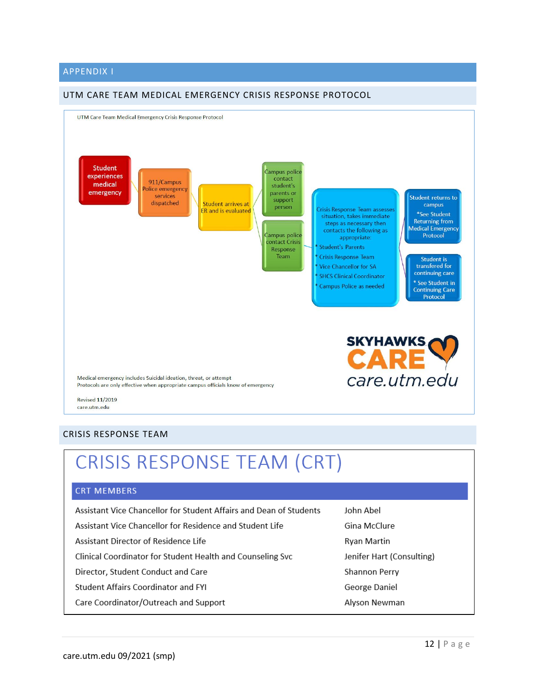#### <span id="page-12-0"></span>APPENDIX I

#### <span id="page-12-1"></span>UTM CARE TEAM MEDICAL EMERGENCY CRISIS RESPONSE PROTOCOL



## <span id="page-12-2"></span>CRISIS RESPONSE TEAM (CRT)

#### **CRT MEMBERS**

| Assistant Vice Chancellor for Student Affairs and Dean of Students | John Abel                 |
|--------------------------------------------------------------------|---------------------------|
| Assistant Vice Chancellor for Residence and Student Life           | Gina McClure              |
| Assistant Director of Residence Life                               | Ryan Martin               |
| Clinical Coordinator for Student Health and Counseling Svc         | Jenifer Hart (Consulting) |
| Director, Student Conduct and Care                                 | Shannon Perry             |
| <b>Student Affairs Coordinator and FYI</b>                         | George Daniel             |
| Care Coordinator/Outreach and Support                              | Alyson Newman             |
|                                                                    |                           |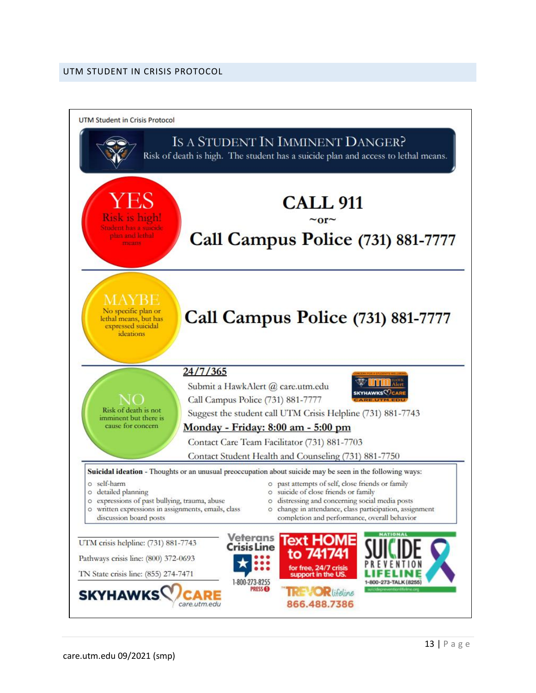#### <span id="page-13-0"></span>UTM STUDENT IN CRISIS PROTOCOL